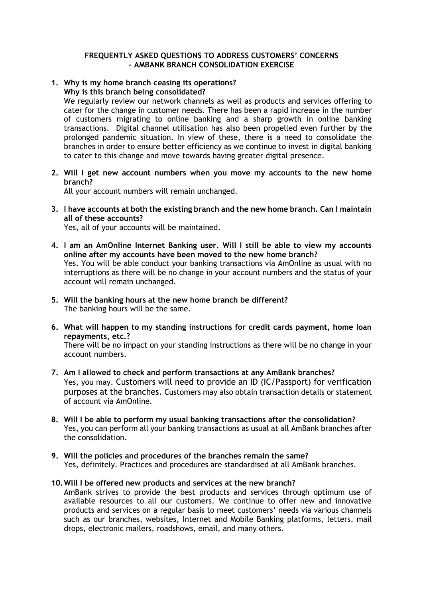## **FREQUENTLY ASKED QUESTIONS TO ADDRESS CUSTOMERS' CONCERNS - AMBANK BRANCH CONSOLIDATION EXERCISE**

**1. Why is my home branch ceasing its operations? Why is this branch being consolidated?**

We regularly review our network channels as well as products and services offering to cater for the change in customer needs. There has been a rapid increase in the number of customers migrating to online banking and a sharp growth in online banking transactions. Digital channel utilisation has also been propelled even further by the prolonged pandemic situation. In view of these, there is a need to consolidate the branches in order to ensure better efficiency as we continue to invest in digital banking to cater to this change and move towards having greater digital presence.

**2. Will I get new account numbers when you move my accounts to the new home branch?**

All your account numbers will remain unchanged.

**3. I have accounts at both the existing branch and the new home branch. Can I maintain all of these accounts?**

Yes, all of your accounts will be maintained.

- **4. I am an AmOnline Internet Banking user. Will I still be able to view my accounts online after my accounts have been moved to the new home branch?** Yes. You will be able conduct your banking transactions via AmOnline as usual with no interruptions as there will be no change in your account numbers and the status of your account will remain unchanged.
- **5. Will the banking hours at the new home branch be different?** The banking hours will be the same.
- **6. What will happen to my standing instructions for credit cards payment, home loan repayments, etc.?**

There will be no impact on your standing instructions as there will be no change in your account numbers.

- **7. Am I allowed to check and perform transactions at any AmBank branches?** Yes, you may. Customers will need to provide an ID (IC/Passport) for verification purposes at the branches. Customers may also obtain transaction details or statement of account via AmOnline.
- **8. Will I be able to perform my usual banking transactions after the consolidation?** Yes, you can perform all your banking transactions as usual at all AmBank branches after the consolidation.
- **9. Will the policies and procedures of the branches remain the same?**  Yes, definitely. Practices and procedures are standardised at all AmBank branches.
- **10.Will I be offered new products and services at the new branch?** AmBank strives to provide the best products and services through optimum use of available resources to all our customers. We continue to offer new and innovative products and services on a regular basis to meet customers' needs via various channels such as our branches, websites, Internet and Mobile Banking platforms, letters, mail drops, electronic mailers, roadshows, email, and many others.